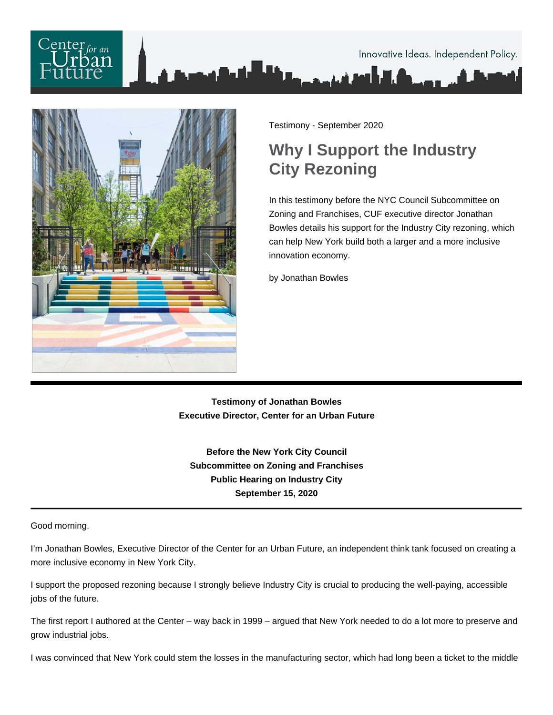



Testimony - September 2020

## **Why I Support the Industry City Rezoning**

In this testimony before the NYC Council Subcommittee on Zoning and Franchises, CUF executive director Jonathan Bowles details his support for the Industry City rezoning, which can help New York build both a larger and a more inclusive innovation economy.

by Jonathan Bowles

**Testimony of Jonathan Bowles Executive Director, Center for an Urban Future**

**Before the New York City Council Subcommittee on Zoning and Franchises Public Hearing on Industry City September 15, 2020**

Good morning.

I'm Jonathan Bowles, Executive Director of the Center for an Urban Future, an independent think tank focused on creating a more inclusive economy in New York City.

I support the proposed rezoning because I strongly believe Industry City is crucial to producing the well-paying, accessible jobs of the future.

The first report I authored at the Center – way back in 1999 – argued that New York needed to do a lot more to preserve and grow industrial jobs.

I was convinced that New York could stem the losses in the manufacturing sector, which had long been a ticket to the middle